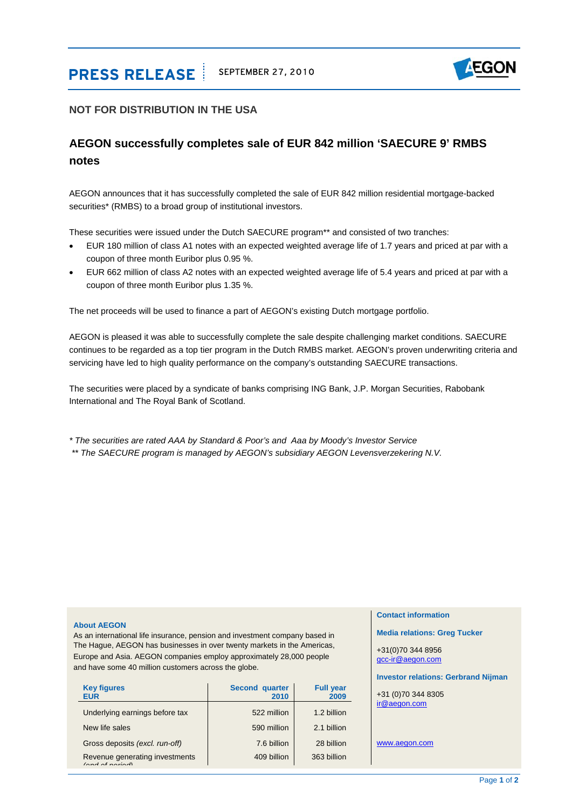# **PRESS RELEASE** SEPTEMBER 27, 2010



### **NOT FOR DISTRIBUTION IN THE USA**

## **AEGON successfully completes sale of EUR 842 million 'SAECURE 9' RMBS notes**

AEGON announces that it has successfully completed the sale of EUR 842 million residential mortgage-backed securities\* (RMBS) to a broad group of institutional investors.

These securities were issued under the Dutch SAECURE program\*\* and consisted of two tranches:

- EUR 180 million of class A1 notes with an expected weighted average life of 1.7 years and priced at par with a coupon of three month Euribor plus 0.95 %.
- EUR 662 million of class A2 notes with an expected weighted average life of 5.4 years and priced at par with a coupon of three month Euribor plus 1.35 %.

The net proceeds will be used to finance a part of AEGON's existing Dutch mortgage portfolio.

AEGON is pleased it was able to successfully complete the sale despite challenging market conditions. SAECURE continues to be regarded as a top tier program in the Dutch RMBS market. AEGON's proven underwriting criteria and servicing have led to high quality performance on the company's outstanding SAECURE transactions.

The securities were placed by a syndicate of banks comprising ING Bank, J.P. Morgan Securities, Rabobank International and The Royal Bank of Scotland.

*\* The securities are rated AAA by Standard & Poor's and Aaa by Moody's Investor Service \*\* The SAECURE program is managed by AEGON's subsidiary AEGON Levensverzekering N.V.* 

#### **About AEGON**

As an international life insurance, pension and investment company based in The Hague, AEGON has businesses in over twenty markets in the Americas, Europe and Asia. AEGON companies employ approximately 28,000 people and have some 40 million customers across the globe.

| <b>Key figures</b><br><b>EUR</b>                   | <b>Second quarter</b><br>2010 | <b>Full year</b><br>2009 |
|----------------------------------------------------|-------------------------------|--------------------------|
| Underlying earnings before tax                     | 522 million                   | 1.2 billion              |
| New life sales                                     | 590 million                   | 2.1 billion              |
| Gross deposits (excl. run-off)                     | 7.6 billion                   | 28 billion               |
| Revenue generating investments<br>$(and of non-1)$ | 409 billion                   | 363 billion              |

#### **Contact information**

**Media relations: Greg Tucker** 

+31(0)70 344 8956 [gcc-ir@aegon.com](mailto:gcc-ir@aegon.com)

#### **Investor relations: Gerbrand Nijman**

+31 (0)70 344 [8](mailto:ir@aegon.com)305 [ir@aegon.com](mailto:ir@aegon.com)

[www.aegon.com](http://www.aegon.com/)